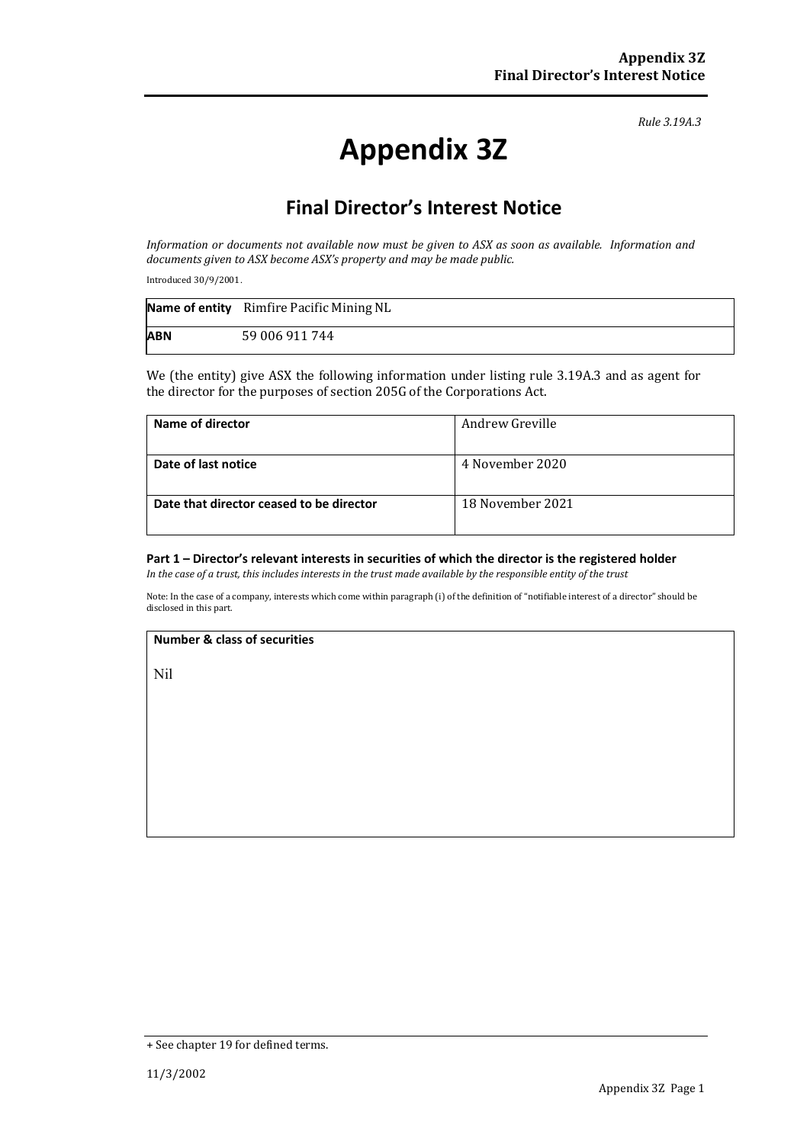*Rule 3.19A.3*

# **Appendix 3Z**

## **Final Director's Interest Notice**

*Information or documents not available now must be given to ASX as soon as available. Information and documents given to ASX become ASX's property and may be made public.*

Introduced 30/9/2001.

|            | Name of entity Rimfire Pacific Mining NL |
|------------|------------------------------------------|
| <b>ABN</b> | 59 006 911 744                           |

We (the entity) give ASX the following information under listing rule 3.19A.3 and as agent for the director for the purposes of section 205G of the Corporations Act.

| Name of director                         | Andrew Greville  |
|------------------------------------------|------------------|
| Date of last notice                      | 4 November 2020  |
| Date that director ceased to be director | 18 November 2021 |

#### **Part 1 – Director's relevant interests in securities of which the director is the registered holder**

*In the case of a trust, this includes interests in the trust made available by the responsible entity of the trust*

Note: In the case of a company, interests which come within paragraph (i) of the definition of "notifiable interest of a director" should be disclosed in this part.

#### **Number & class of securities**

Nil

<sup>+</sup> See chapter 19 for defined terms.